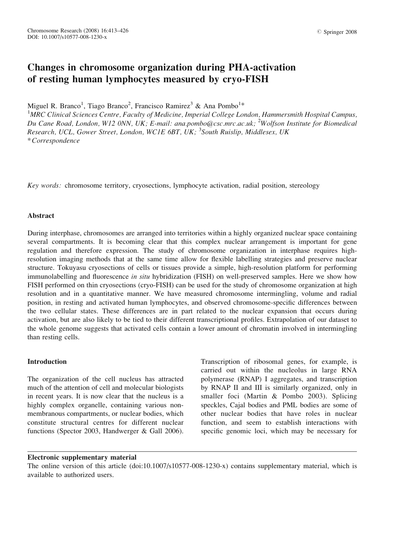# Changes in chromosome organization during PHA-activation of resting human lymphocytes measured by cryo-FISH

Miguel R. Branco<sup>1</sup>, Tiago Branco<sup>2</sup>, Francisco Ramirez<sup>3</sup> & Ana Pombo<sup>1\*</sup>

<sup>1</sup>MRC Clinical Sciences Centre, Faculty of Medicine, Imperial College London, Hammersmith Hospital Campus, Du Cane Road, London, W12 0NN, UK; E-mail: ana.pombo@csc.mrc.ac.uk; <sup>2</sup>Wolfson Institute for Biomedical Research, UCL, Gower Street, London, WC1E 6BT, UK; <sup>3</sup>South Ruislip, Middlesex, UK \* Correspondence

Key words: chromosome territory, cryosections, lymphocyte activation, radial position, stereology

### Abstract

During interphase, chromosomes are arranged into territories within a highly organized nuclear space containing several compartments. It is becoming clear that this complex nuclear arrangement is important for gene regulation and therefore expression. The study of chromosome organization in interphase requires highresolution imaging methods that at the same time allow for flexible labelling strategies and preserve nuclear structure. Tokuyasu cryosections of cells or tissues provide a simple, high-resolution platform for performing immunolabelling and fluorescence in situ hybridization (FISH) on well-preserved samples. Here we show how FISH performed on thin cryosections (cryo-FISH) can be used for the study of chromosome organization at high resolution and in a quantitative manner. We have measured chromosome intermingling, volume and radial position, in resting and activated human lymphocytes, and observed chromosome-specific differences between the two cellular states. These differences are in part related to the nuclear expansion that occurs during activation, but are also likely to be tied to their different transcriptional profiles. Extrapolation of our dataset to the whole genome suggests that activated cells contain a lower amount of chromatin involved in intermingling than resting cells.

# Introduction

The organization of the cell nucleus has attracted much of the attention of cell and molecular biologists in recent years. It is now clear that the nucleus is a highly complex organelle, containing various nonmembranous compartments, or nuclear bodies, which constitute structural centres for different nuclear functions (Spector 2003, Handwerger & Gall 2006).

Transcription of ribosomal genes, for example, is carried out within the nucleolus in large RNA polymerase (RNAP) I aggregates, and transcription by RNAP II and III is similarly organized, only in smaller foci (Martin & Pombo 2003). Splicing speckles, Cajal bodies and PML bodies are some of other nuclear bodies that have roles in nuclear function, and seem to establish interactions with specific genomic loci, which may be necessary for

#### Electronic supplementary material

The online version of this article (doi:10.1007/s10577-008-1230-x) contains supplementary material, which is available to authorized users.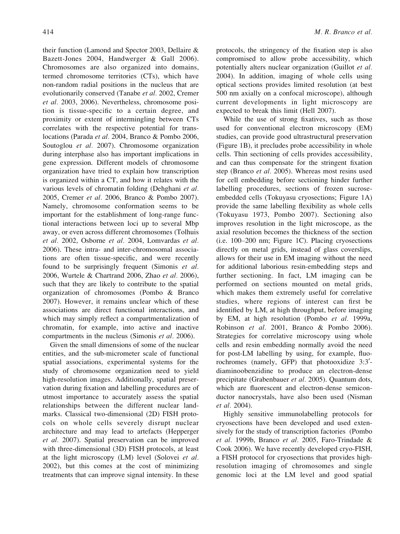their function (Lamond and Spector 2003, Dellaire & Bazett-Jones 2004, Handwerger & Gall 2006). Chromosomes are also organized into domains, termed chromosome territories (CTs), which have non-random radial positions in the nucleus that are evolutionarily conserved (Tanabe et al. 2002, Cremer et al. 2003, 2006). Nevertheless, chromosome position is tissue-specific to a certain degree, and proximity or extent of intermingling between CTs correlates with the respective potential for translocations (Parada et al. 2004, Branco & Pombo 2006, Soutoglou et al. 2007). Chromosome organization during interphase also has important implications in gene expression. Different models of chromosome organization have tried to explain how transcription is organized within a CT, and how it relates with the various levels of chromatin folding (Dehghani et al. 2005, Cremer et al. 2006, Branco & Pombo 2007). Namely, chromosome conformation seems to be important for the establishment of long-range functional interactions between loci up to several Mbp away, or even across different chromosomes (Tolhuis et al. 2002, Osborne et al. 2004, Lomvardas et al. 2006). These intra- and inter-chromosomal associations are often tissue-specific, and were recently found to be surprisingly frequent (Simonis et al. 2006, Wurtele & Chartrand 2006, Zhao et al. 2006), such that they are likely to contribute to the spatial organization of chromosomes (Pombo & Branco 2007). However, it remains unclear which of these associations are direct functional interactions, and which may simply reflect a compartmentalization of chromatin, for example, into active and inactive compartments in the nucleus (Simonis et al. 2006).

Given the small dimensions of some of the nuclear entities, and the sub-micrometer scale of functional spatial associations, experimental systems for the study of chromosome organization need to yield high-resolution images. Additionally, spatial preservation during fixation and labelling procedures are of utmost importance to accurately assess the spatial relationships between the different nuclear landmarks. Classical two-dimensional (2D) FISH protocols on whole cells severely disrupt nuclear architecture and may lead to artefacts (Hepperger et al. 2007). Spatial preservation can be improved with three-dimensional (3D) FISH protocols, at least at the light microscopy (LM) level (Solovei et al. 2002), but this comes at the cost of minimizing treatments that can improve signal intensity. In these

protocols, the stringency of the fixation step is also compromised to allow probe accessibility, which potentially alters nuclear organization (Guillot et al. 2004). In addition, imaging of whole cells using optical sections provides limited resolution (at best 500 nm axially on a confocal microscope), although current developments in light microscopy are expected to break this limit (Hell 2007).

While the use of strong fixatives, such as those used for conventional electron microscopy (EM) studies, can provide good ultrastructural preservation (Figure 1B), it precludes probe accessibility in whole cells. Thin sectioning of cells provides accessibility, and can thus compensate for the stringent fixation step (Branco et al. 2005). Whereas most resins used for cell embedding before sectioning hinder further labelling procedures, sections of frozen sucroseembedded cells (Tokuyasu cryosections; Figure 1A) provide the same labelling flexibility as whole cells (Tokuyasu 1973, Pombo 2007). Sectioning also improves resolution in the light microscope, as the axial resolution becomes the thickness of the section  $(i.e. 100-200$  nm; Figure 1C). Placing cryosections directly on metal grids, instead of glass coverslips, allows for their use in EM imaging without the need for additional laborious resin-embedding steps and further sectioning. In fact, LM imaging can be performed on sections mounted on metal grids, which makes them extremely useful for correlative studies, where regions of interest can first be identified by LM, at high throughput, before imaging by EM, at high resolution (Pombo et al. 1999a, Robinson et al. 2001, Branco & Pombo 2006). Strategies for correlative microscopy using whole cells and resin embedding normally avoid the need for post-LM labelling by using, for example, fluorochromes (namely, GFP) that photooxidize 3:3<sup>'</sup>diaminoobenzidine to produce an electron-dense precipitate (Grabenbauer et al. 2005). Quantum dots, which are fluorescent and electron-dense semiconductor nanocrystals, have also been used (Nisman et al. 2004).

Highly sensitive immunolabelling protocols for cryosections have been developed and used extensively for the study of transcription factories (Pombo et al. 1999b, Branco et al. 2005, Faro-Trindade & Cook 2006). We have recently developed cryo-FISH, a FISH protocol for cryosections that provides highresolution imaging of chromosomes and single genomic loci at the LM level and good spatial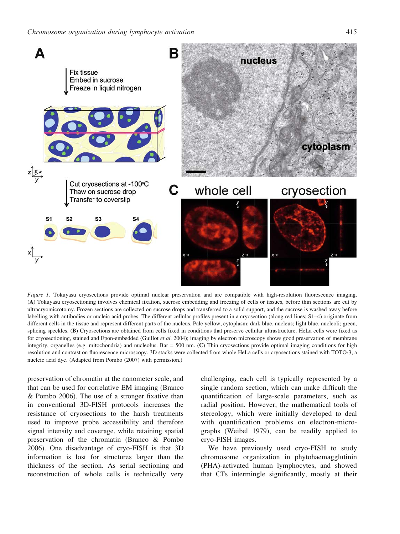

Figure 1. Tokuyasu cryosections provide optimal nuclear preservation and are compatible with high-resolution fluorescence imaging. (A) Tokuyasu cryosectioning involves chemical fixation, sucrose embedding and freezing of cells or tissues, before thin sections are cut by ultracryomicrotomy. Frozen sections are collected on sucrose drops and transferred to a solid support, and the sucrose is washed away before labelling with antibodies or nucleic acid probes. The different cellular profiles present in a cryosection (along red lines; S1-4) originate from different cells in the tissue and represent different parts of the nucleus. Pale yellow, cytoplasm; dark blue, nucleus; light blue, nucleoli; green, splicing speckles. (B) Cryosections are obtained from cells fixed in conditions that preserve cellular ultrastructure. HeLa cells were fixed as for cryosectioning, stained and Epon-embedded (Guillot et al. 2004); imaging by electron microscopy shows good preservation of membrane integrity, organelles (e.g. mitochondria) and nucleolus. Bar = 500 nm. (C) Thin cryosections provide optimal imaging conditions for high resolution and contrast on fluorescence microscopy. 3D stacks were collected from whole HeLa cells or cryosections stained with TOTO-3, a nucleic acid dye. (Adapted from Pombo (2007) with permission.)

preservation of chromatin at the nanometer scale, and that can be used for correlative EM imaging (Branco & Pombo 2006). The use of a stronger fixative than in conventional 3D-FISH protocols increases the resistance of cryosections to the harsh treatments used to improve probe accessibility and therefore signal intensity and coverage, while retaining spatial preservation of the chromatin (Branco & Pombo 2006). One disadvantage of cryo-FISH is that 3D information is lost for structures larger than the thickness of the section. As serial sectioning and reconstruction of whole cells is technically very

challenging, each cell is typically represented by a single random section, which can make difficult the quantification of large-scale parameters, such as radial position. However, the mathematical tools of stereology, which were initially developed to deal with quantification problems on electron-micrographs (Weibel 1979), can be readily applied to cryo-FISH images.

We have previously used cryo-FISH to study chromosome organization in phytohaemagglutinin (PHA)-activated human lymphocytes, and showed that CTs intermingle significantly, mostly at their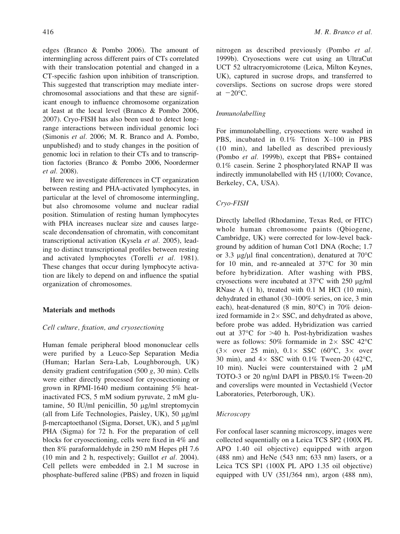edges (Branco & Pombo 2006). The amount of intermingling across different pairs of CTs correlated with their translocation potential and changed in a CT-specific fashion upon inhibition of transcription. This suggested that transcription may mediate interchromosomal associations and that these are significant enough to influence chromosome organization at least at the local level (Branco & Pombo 2006, 2007). Cryo-FISH has also been used to detect longrange interactions between individual genomic loci (Simonis et al. 2006; M. R. Branco and A. Pombo, unpublished) and to study changes in the position of genomic loci in relation to their CTs and to transcription factories (Branco & Pombo 2006, Noordermer et al. 2008).

Here we investigate differences in CT organization between resting and PHA-activated lymphocytes, in particular at the level of chromosome intermingling, but also chromosome volume and nuclear radial position. Stimulation of resting human lymphocytes with PHA increases nuclear size and causes largescale decondensation of chromatin, with concomitant transcriptional activation (Kysela et al. 2005), leading to distinct transcriptional profiles between resting and activated lymphocytes (Torelli et al. 1981). These changes that occur during lymphocyte activation are likely to depend on and influence the spatial organization of chromosomes.

### Materials and methods

### Cell culture, fixation, and cryosectioning

Human female peripheral blood mononuclear cells were purified by a Leuco-Sep Separation Media (Human; Harlan Sera-Lab, Loughborough, UK) density gradient centrifugation (500 g, 30 min). Cells were either directly processed for cryosectioning or grown in RPMI-1640 medium containing 5% heatinactivated FCS, 5 mM sodium pyruvate, 2 mM glutamine, 50 IU/ml penicillin, 50  $\mu$ g/ml streptomycin (all from Life Technologies, Paisley, UK),  $50 \mu g/ml$  $\beta$ -mercaptoethanol (Sigma, Dorset, UK), and 5  $\mu$ g/ml PHA (Sigma) for 72 h. For the preparation of cell blocks for cryosectioning, cells were fixed in 4% and then 8% paraformaldehyde in 250 mM Hepes pH 7.6 (10 min and 2 h, respectively; Guillot et al. 2004). Cell pellets were embedded in 2.1 M sucrose in phosphate-buffered saline (PBS) and frozen in liquid nitrogen as described previously (Pombo et al. 1999b). Cryosections were cut using an UltraCut UCT 52 ultracryomicrotome (Leica, Milton Keynes, UK), captured in sucrose drops, and transferred to coverslips. Sections on sucrose drops were stored at  $-20$ °C.

# Immunolabelling

For immunolabelling, cryosections were washed in PBS, incubated in  $0.1\%$  Triton X-100 in PBS (10 min), and labelled as described previously (Pombo et al. 1999b), except that PBS+ contained 0.1% casein. Serine 2 phosphorylated RNAP II was indirectly immunolabelled with H5 (1/1000; Covance, Berkeley, CA, USA).

# Cryo-FISH

Directly labelled (Rhodamine, Texas Red, or FITC) whole human chromosome paints (Qbiogene, Cambridge, UK) were corrected for low-level background by addition of human Cot1 DNA (Roche; 1.7 or 3.3  $\mu$ g/ $\mu$ l final concentration), denatured at 70°C for 10 min, and re-annealed at  $37^{\circ}$ C for 30 min before hybridization. After washing with PBS, cryosections were incubated at  $37^{\circ}$ C with 250  $\mu$ g/ml RNase A (1 h), treated with 0.1 M HCl (10 min), dehydrated in ethanol  $(30-100\%$  series, on ice, 3 min each), heat-denatured (8 min,  $80^{\circ}$ C) in 70% deionized formamide in  $2 \times$  SSC, and dehydrated as above, before probe was added. Hybridization was carried out at  $37^{\circ}$ C for  $>40$  h. Post-hybridization washes were as follows:  $50\%$  formamide in  $2 \times$  SSC 42<sup>o</sup>C  $(3 \times$  over 25 min),  $0.1 \times$  SSC  $(60^{\circ}C, 3 \times)$  over 30 min), and  $4 \times$  SSC with 0.1% Tween-20 (42°C, 10 min). Nuclei were counterstained with 2  $\mu$ M TOTO-3 or 20 ng/ml DAPI in PBS/0.1% Tween-20 and coverslips were mounted in Vectashield (Vector Laboratories, Peterborough, UK).

# **Microscopy**

For confocal laser scanning microscopy, images were collected sequentially on a Leica TCS SP2 (100X PL APO 1.40 oil objective) equipped with argon (488 nm) and HeNe (543 nm; 633 nm) lasers, or a Leica TCS SP1 (100X PL APO 1.35 oil objective) equipped with UV (351/364 nm), argon (488 nm),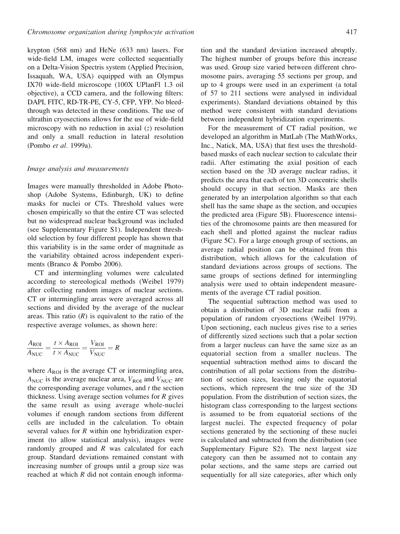krypton (568 nm) and HeNe (633 nm) lasers. For wide-field LM, images were collected sequentially on a Delta-Vision Spectris system (Applied Precision, Issaquah, WA, USA) equipped with an Olympus IX70 wide-field microscope (100X UPlanFl 1.3 oil objective), a CCD camera, and the following filters: DAPI, FITC, RD-TR-PE, CY-5, CFP, YFP. No bleedthrough was detected in these conditions. The use of ultrathin cryosections allows for the use of wide-field microscopy with no reduction in axial  $(z)$  resolution and only a small reduction in lateral resolution (Pombo et al. 1999a).

#### Image analysis and measurements

Images were manually thresholded in Adobe Photoshop (Adobe Systems, Edinburgh, UK) to define masks for nuclei or CTs. Threshold values were chosen empirically so that the entire CT was selected but no widespread nuclear background was included (see Supplementary Figure S1). Independent threshold selection by four different people has shown that this variability is in the same order of magnitude as the variability obtained across independent experiments (Branco & Pombo 2006).

CT and intermingling volumes were calculated according to stereological methods (Weibel 1979) after collecting random images of nuclear sections. CT or intermingling areas were averaged across all sections and divided by the average of the nuclear areas. This ratio  $(R)$  is equivalent to the ratio of the respective average volumes, as shown here:

$$
\frac{A_{\text{ROI}}}{A_{\text{NUC}}} = \frac{t \times A_{\text{ROI}}}{t \times A_{\text{NUC}}} = \frac{V_{\text{ROI}}}{V_{\text{NUC}}} = R
$$

where  $A_{\text{ROI}}$  is the average CT or intermingling area,  $A_{\text{NUC}}$  is the average nuclear area,  $V_{\text{ROI}}$  and  $V_{\text{NUC}}$  are the corresponding average volumes, and  $t$  the section thickness. Using average section volumes for  *gives* the same result as using average whole-nuclei volumes if enough random sections from different cells are included in the calculation. To obtain several values for  $R$  within one hybridization experiment (to allow statistical analysis), images were randomly grouped and  $R$  was calculated for each group. Standard deviations remained constant with increasing number of groups until a group size was reached at which  $R$  did not contain enough informa-

tion and the standard deviation increased abruptly. The highest number of groups before this increase was used. Group size varied between different chromosome pairs, averaging 55 sections per group, and up to 4 groups were used in an experiment (a total of 57 to 211 sections were analysed in individual experiments). Standard deviations obtained by this method were consistent with standard deviations between independent hybridization experiments.

For the measurement of CT radial position, we developed an algorithm in MatLab (The MathWorks, Inc., Natick, MA, USA) that first uses the thresholdbased masks of each nuclear section to calculate their radii. After estimating the axial position of each section based on the 3D average nuclear radius, it predicts the area that each of ten 3D concentric shells should occupy in that section. Masks are then generated by an interpolation algorithm so that each shell has the same shape as the section, and occupies the predicted area (Figure 5B). Fluorescence intensities of the chromosome paints are then measured for each shell and plotted against the nuclear radius (Figure 5C). For a large enough group of sections, an average radial position can be obtained from this distribution, which allows for the calculation of standard deviations across groups of sections. The same groups of sections defined for intermingling analysis were used to obtain independent measurements of the average CT radial position.

The sequential subtraction method was used to obtain a distribution of 3D nuclear radii from a population of random cryosections (Weibel 1979). Upon sectioning, each nucleus gives rise to a series of differently sized sections such that a polar section from a larger nucleus can have the same size as an equatorial section from a smaller nucleus. The sequential subtraction method aims to discard the contribution of all polar sections from the distribution of section sizes, leaving only the equatorial sections, which represent the true size of the 3D population. From the distribution of section sizes, the histogram class corresponding to the largest sections is assumed to be from equatorial sections of the largest nuclei. The expected frequency of polar sections generated by the sectioning of these nuclei is calculated and subtracted from the distribution (see Supplementary Figure S2). The next largest size category can then be assumed not to contain any polar sections, and the same steps are carried out sequentially for all size categories, after which only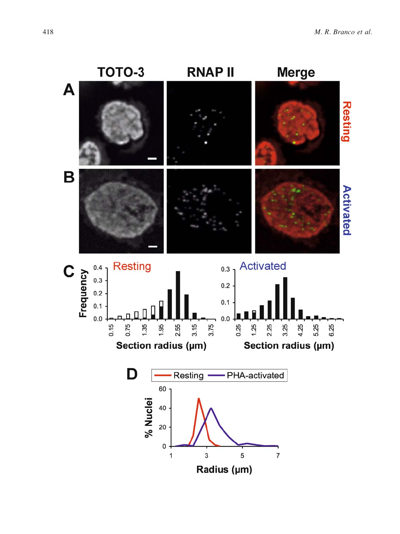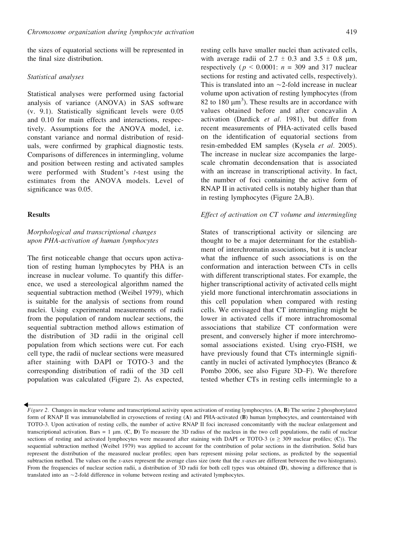the sizes of equatorial sections will be represented in the final size distribution.

### Statistical analyses

Statistical analyses were performed using factorial analysis of variance (ANOVA) in SAS software (v. 9.1). Statistically significant levels were 0.05 and 0.10 for main effects and interactions, respectively. Assumptions for the ANOVA model, i.e. constant variance and normal distribution of residuals, were confirmed by graphical diagnostic tests. Comparisons of differences in intermingling, volume and position between resting and activated samples were performed with Student's  $t$ -test using the estimates from the ANOVA models. Level of significance was 0.05.

#### Results

 $\blacktriangleleft$ 

# Morphological and transcriptional changes upon PHA-activation of human lymphocytes

The first noticeable change that occurs upon activation of resting human lymphocytes by PHA is an increase in nuclear volume. To quantify this difference, we used a stereological algorithm named the sequential subtraction method (Weibel 1979), which is suitable for the analysis of sections from round nuclei. Using experimental measurements of radii from the population of random nuclear sections, the sequential subtraction method allows estimation of the distribution of 3D radii in the original cell population from which sections were cut. For each cell type, the radii of nuclear sections were measured after staining with DAPI or TOTO-3 and the corresponding distribution of radii of the 3D cell population was calculated (Figure 2). As expected, resting cells have smaller nuclei than activated cells, with average radii of  $2.7 \pm 0.3$  and  $3.5 \pm 0.8$  um, respectively ( $p < 0.0001$ :  $n = 309$  and 317 nuclear sections for resting and activated cells, respectively). This is translated into an  $\sim$  2-fold increase in nuclear volume upon activation of resting lymphocytes (from 82 to 180  $\mu$ m<sup>3</sup>). These results are in accordance with values obtained before and after concavalin A activation (Dardick et al. 1981), but differ from recent measurements of PHA-activated cells based on the identification of equatorial sections from resin-embedded EM samples (Kysela et al. 2005). The increase in nuclear size accompanies the largescale chromatin decondensation that is associated with an increase in transcriptional activity. In fact, the number of foci containing the active form of RNAP II in activated cells is notably higher than that in resting lymphocytes (Figure 2A,B).

#### Effect of activation on CT volume and intermingling

States of transcriptional activity or silencing are thought to be a major determinant for the establishment of interchromatin associations, but it is unclear what the influence of such associations is on the conformation and interaction between CTs in cells with different transcriptional states. For example, the higher transcriptional activity of activated cells might yield more functional interchromatin associations in this cell population when compared with resting cells. We envisaged that CT intermingling might be lower in activated cells if more intrachromosomal associations that stabilize CT conformation were present, and conversely higher if more interchromosomal associations existed. Using cryo-FISH, we have previously found that CTs intermingle significantly in nuclei of activated lymphocytes (Branco & Pombo 2006, see also Figure 3D–F). We therefore tested whether CTs in resting cells intermingle to a

Figure 2. Changes in nuclear volume and transcriptional activity upon activation of resting lymphocytes. (A, B) The serine 2 phosphorylated form of RNAP II was immunolabelled in cryosections of resting (A) and PHA-activated (B) human lymphocytes, and counterstained with TOTO-3. Upon activation of resting cells, the number of active RNAP II foci increased concomitantly with the nuclear enlargement and transcriptional activation. Bars = 1  $\mu$ m. (C, D) To measure the 3D radius of the nucleus in the two cell populations, the radii of nuclear sections of resting and activated lymphocytes were measured after staining with DAPI or TOTO-3 ( $n \geq 309$  nuclear profiles; (C)). The sequential subtraction method (Weibel 1979) was applied to account for the contribution of polar sections in the distribution. Solid bars represent the distribution of the measured nuclear profiles; open bars represent missing polar sections, as predicted by the sequential subtraction method. The values on the x-axes represent the average class size (note that the x-axes are different between the two histograms). From the frequencies of nuclear section radii, a distribution of 3D radii for both cell types was obtained (D), showing a difference that is translated into an  $\sim$ 2-fold difference in volume between resting and activated lymphocytes.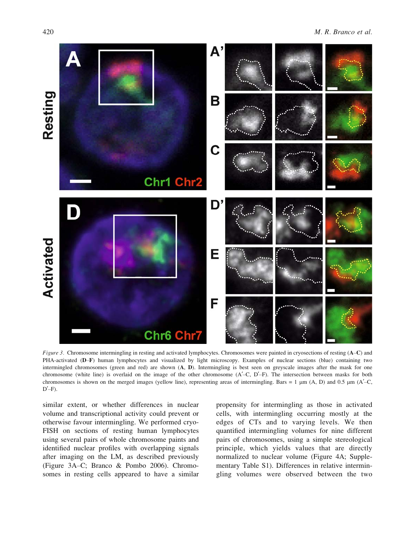

Figure 3. Chromosome intermingling in resting and activated lymphocytes. Chromosomes were painted in cryosections of resting (A-C) and PHA-activated (D-F) human lymphocytes and visualized by light microscopy. Examples of nuclear sections (blue) containing two intermingled chromosomes (green and red) are shown (A, D). Intermingling is best seen on greyscale images after the mask for one chromosome (white line) is overlaid on the image of the other chromosome  $(A'-C, D'-F)$ . The intersection between masks for both chromosomes is shown on the merged images (yellow line), representing areas of intermingling. Bars = 1  $\mu$ m (A, D) and 0.5  $\mu$ m (A $\dot{-}$ C,  $D'$ -F).

similar extent, or whether differences in nuclear volume and transcriptional activity could prevent or otherwise favour intermingling. We performed cryo-FISH on sections of resting human lymphocytes using several pairs of whole chromosome paints and identified nuclear profiles with overlapping signals after imaging on the LM, as described previously (Figure  $3A-C$ ; Branco & Pombo 2006). Chromosomes in resting cells appeared to have a similar propensity for intermingling as those in activated cells, with intermingling occurring mostly at the edges of CTs and to varying levels. We then quantified intermingling volumes for nine different pairs of chromosomes, using a simple stereological principle, which yields values that are directly normalized to nuclear volume (Figure 4A; Supplementary Table S1). Differences in relative intermingling volumes were observed between the two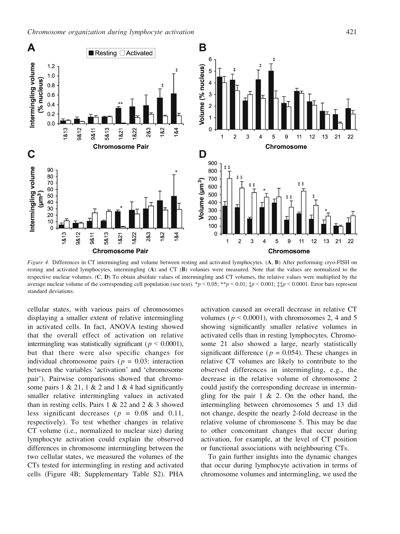

Figure 4. Differences in CT intermingling and volume between resting and activated lymphocytes. (A, B) After performing cryo-FISH on resting and activated lymphocytes, intermingling (A) and CT (B) volumes were measured. Note that the values are normalized to the respective nuclear volumes. (C, D) To obtain absolute values of intermingling and CT volumes, the relative values were multiplied by the average nuclear volume of the corresponding cell population (see text). \*p < 0.05; \*\*p < 0.01;  $\sharp p$  < 0.001;  $\sharp pp$  < 0.0001. Error bars represent standard deviations.

cellular states, with various pairs of chromosomes displaying a smaller extent of relative intermingling in activated cells. In fact, ANOVA testing showed that the overall effect of activation on relative intermingling was statistically significant ( $p < 0.0001$ ), but that there were also specific changes for individual chromosome pairs ( $p = 0.03$ : interaction between the variables 'activation' and 'chromosome pair'). Pairwise comparisons showed that chromosome pairs  $1 \& 21$ ,  $1 \& 2$  and  $1 \& 4$  had significantly smaller relative intermingling values in activated than in resting cells. Pairs  $1 \& 22$  and  $2 \& 3$  showed less significant decreases ( $p = 0.08$  and 0.11, respectively). To test whether changes in relative CT volume (i.e., normalized to nuclear size) during lymphocyte activation could explain the observed differences in chromosome intermingling between the two cellular states, we measured the volumes of the CTs tested for intermingling in resting and activated cells (Figure 4B; Supplementary Table S2). PHA

activation caused an overall decrease in relative CT volumes ( $p \le 0.0001$ ), with chromosomes 2, 4 and 5 showing significantly smaller relative volumes in activated cells than in resting lymphocytes. Chromosome 21 also showed a large, nearly statistically significant difference ( $p = 0.054$ ). These changes in relative CT volumes are likely to contribute to the observed differences in intermingling, e.g., the decrease in the relative volume of chromosome 2 could justify the corresponding decrease in intermingling for the pair  $1 \& 2$ . On the other hand, the intermingling between chromosomes 5 and 13 did not change, despite the nearly 2-fold decrease in the relative volume of chromosome 5. This may be due to other concomitant changes that occur during activation, for example, at the level of CT position or functional associations with neighbouring CTs.

To gain further insights into the dynamic changes that occur during lymphocyte activation in terms of chromosome volumes and intermingling, we used the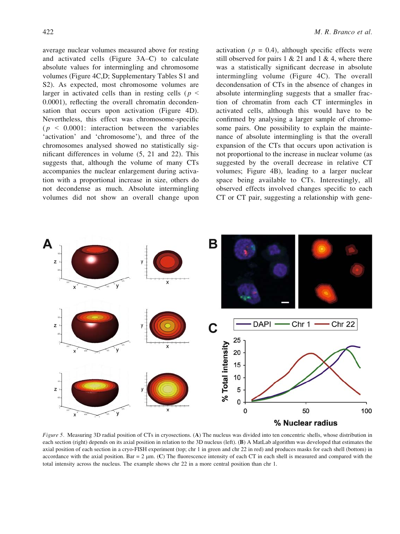average nuclear volumes measured above for resting and activated cells (Figure  $3A-C$ ) to calculate absolute values for intermingling and chromosome volumes (Figure 4C,D; Supplementary Tables S1 and S2). As expected, most chromosome volumes are larger in activated cells than in resting cells ( $p \leq$ 0.0001), reflecting the overall chromatin decondensation that occurs upon activation (Figure 4D). Nevertheless, this effect was chromosome-specific ( $p \le 0.0001$ : interaction between the variables 'activation' and 'chromosome'), and three of the chromosomes analysed showed no statistically significant differences in volume (5, 21 and 22). This suggests that, although the volume of many CTs accompanies the nuclear enlargement during activation with a proportional increase in size, others do not decondense as much. Absolute intermingling volumes did not show an overall change upon

activation ( $p = 0.4$ ), although specific effects were still observed for pairs  $1 \& 21$  and  $1 \& 4$ , where there was a statistically significant decrease in absolute intermingling volume (Figure 4C). The overall decondensation of CTs in the absence of changes in absolute intermingling suggests that a smaller fraction of chromatin from each CT intermingles in activated cells, although this would have to be confirmed by analysing a larger sample of chromosome pairs. One possibility to explain the maintenance of absolute intermingling is that the overall expansion of the CTs that occurs upon activation is not proportional to the increase in nuclear volume (as suggested by the overall decrease in relative CT volumes; Figure 4B), leading to a larger nuclear space being available to CTs. Interestingly, all observed effects involved changes specific to each CT or CT pair, suggesting a relationship with gene-



Figure 5. Measuring 3D radial position of CTs in cryosections. (A) The nucleus was divided into ten concentric shells, whose distribution in each section (right) depends on its axial position in relation to the 3D nucleus (left). (B) A MatLab algorithm was developed that estimates the axial position of each section in a cryo-FISH experiment (top; chr 1 in green and chr 22 in red) and produces masks for each shell (bottom) in accordance with the axial position. Bar =  $2 \mu m$ . (C) The fluorescence intensity of each CT in each shell is measured and compared with the total intensity across the nucleus. The example shows chr 22 in a more central position than chr 1.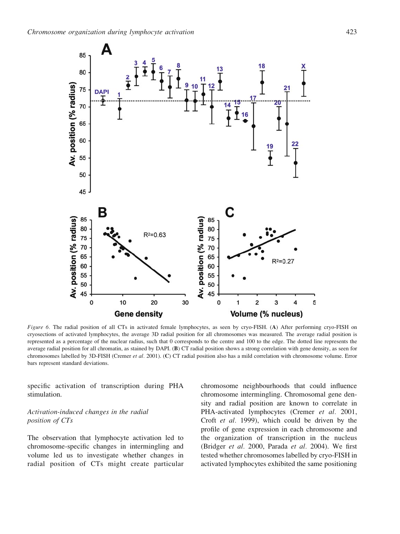

Figure 6. The radial position of all CTs in activated female lymphocytes, as seen by cryo-FISH. (A) After performing cryo-FISH on cryosections of activated lymphocytes, the average 3D radial position for all chromosomes was measured. The average radial position is represented as a percentage of the nuclear radius, such that 0 corresponds to the centre and 100 to the edge. The dotted line represents the average radial position for all chromatin, as stained by DAPI. (B) CT radial position shows a strong correlation with gene density, as seen for chromosomes labelled by 3D-FISH (Cremer et al. 2001). (C) CT radial position also has a mild correlation with chromosome volume. Error bars represent standard deviations.

specific activation of transcription during PHA stimulation.

**Gene density** 

# Activation-induced changes in the radial position of CTs

The observation that lymphocyte activation led to chromosome-specific changes in intermingling and volume led us to investigate whether changes in radial position of CTs might create particular

chromosome neighbourhoods that could influence chromosome intermingling. Chromosomal gene density and radial position are known to correlate in PHA-activated lymphocytes (Cremer et al. 2001, Croft et al. 1999), which could be driven by the profile of gene expression in each chromosome and the organization of transcription in the nucleus (Bridger et al. 2000, Parada et al. 2004). We first tested whether chromosomes labelled by cryo-FISH in activated lymphocytes exhibited the same positioning

Volume (% nucleus)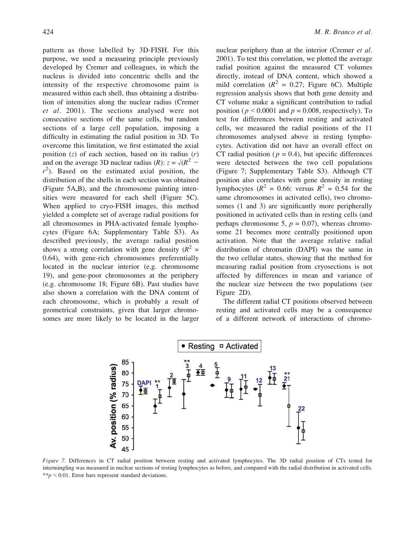pattern as those labelled by 3D-FISH. For this purpose, we used a measuring principle previously developed by Cremer and colleagues, in which the nucleus is divided into concentric shells and the intensity of the respective chromosome paint is measured within each shell, thus obtaining a distribution of intensities along the nuclear radius (Cremer et al. 2001). The sections analysed were not consecutive sections of the same cells, but random sections of a large cell population, imposing a difficulty in estimating the radial position in 3D. To overcome this limitation, we first estimated the axial position  $(z)$  of each section, based on its radius  $(r)$ and on the average 3D nuclear radius (R):  $z = \sqrt{R^2 - 1}$  $r<sup>2</sup>$ ). Based on the estimated axial position, the distribution of the shells in each section was obtained (Figure 5A,B), and the chromosome painting intensities were measured for each shell (Figure 5C). When applied to cryo-FISH images, this method yielded a complete set of average radial positions for all chromosomes in PHA-activated female lymphocytes (Figure 6A; Supplementary Table S3). As described previously, the average radial position shows a strong correlation with gene density  $(R^2 =$ 0.64), with gene-rich chromosomes preferentially located in the nuclear interior (e.g. chromosome 19), and gene-poor chromosomes at the periphery (e.g. chromosome 18; Figure 6B). Past studies have also shown a correlation with the DNA content of each chromosome, which is probably a result of geometrical constraints, given that larger chromosomes are more likely to be located in the larger nuclear periphery than at the interior (Cremer et al. 2001). To test this correlation, we plotted the average radial position against the measured CT volumes directly, instead of DNA content, which showed a mild correlation ( $R^2 = 0.27$ ; Figure 6C). Multiple regression analysis shows that both gene density and CT volume make a significant contribution to radial position ( $p < 0.0001$  and  $p = 0.008$ , respectively). To test for differences between resting and activated cells, we measured the radial positions of the 11 chromosomes analysed above in resting lymphocytes. Activation did not have an overall effect on CT radial position ( $p = 0.4$ ), but specific differences were detected between the two cell populations (Figure 7; Supplementary Table S3). Although CT position also correlates with gene density in resting lymphocytes ( $R^2 = 0.66$ : versus  $R^2 = 0.54$  for the same chromosomes in activated cells), two chromosomes (1 and 3) are significantly more peripherally positioned in activated cells than in resting cells (and perhaps chromosome 5,  $p = 0.07$ ), whereas chromosome 21 becomes more centrally positioned upon activation. Note that the average relative radial distribution of chromatin (DAPI) was the same in the two cellular states, showing that the method for measuring radial position from cryosections is not affected by differences in mean and variance of the nuclear size between the two populations (see Figure 2D).

The different radial CT positions observed between resting and activated cells may be a consequence of a different network of interactions of chromo-



Figure 7. Differences in CT radial position between resting and activated lymphocytes. The 3D radial position of CTs tested for intermingling was measured in nuclear sections of resting lymphocytes as before, and compared with the radial distribution in activated cells.  $**p < 0.01$ . Error bars represent standard deviations.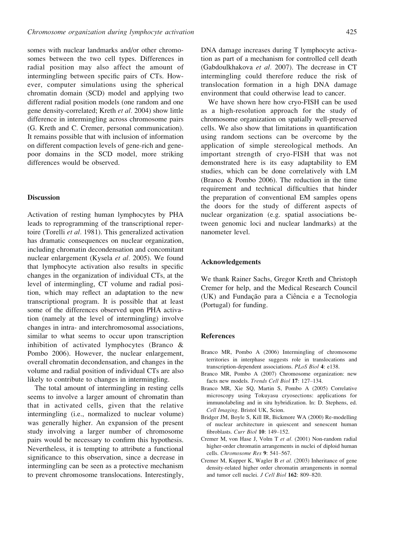somes with nuclear landmarks and/or other chromosomes between the two cell types. Differences in radial position may also affect the amount of intermingling between specific pairs of CTs. However, computer simulations using the spherical chromatin domain (SCD) model and applying two different radial position models (one random and one gene density-correlated; Kreth et al. 2004) show little difference in intermingling across chromosome pairs (G. Kreth and C. Cremer, personal communication). It remains possible that with inclusion of information on different compaction levels of gene-rich and genepoor domains in the SCD model, more striking differences would be observed.

#### **Discussion**

Activation of resting human lymphocytes by PHA leads to reprogramming of the transcriptional repertoire (Torelli et al. 1981). This generalized activation has dramatic consequences on nuclear organization, including chromatin decondensation and concomitant nuclear enlargement (Kysela et al. 2005). We found that lymphocyte activation also results in specific changes in the organization of individual CTs, at the level of intermingling, CT volume and radial position, which may reflect an adaptation to the new transcriptional program. It is possible that at least some of the differences observed upon PHA activation (namely at the level of intermingling) involve changes in intra- and interchromosomal associations, similar to what seems to occur upon transcription inhibition of activated lymphocytes (Branco & Pombo 2006). However, the nuclear enlargement, overall chromatin decondensation, and changes in the volume and radial position of individual CTs are also likely to contribute to changes in intermingling.

The total amount of intermingling in resting cells seems to involve a larger amount of chromatin than that in activated cells, given that the relative intermingling (i.e., normalized to nuclear volume) was generally higher. An expansion of the present study involving a larger number of chromosome pairs would be necessary to confirm this hypothesis. Nevertheless, it is tempting to attribute a functional significance to this observation, since a decrease in intermingling can be seen as a protective mechanism to prevent chromosome translocations. Interestingly,

DNA damage increases during T lymphocyte activation as part of a mechanism for controlled cell death (Gabdoulkhakova et al. 2007). The decrease in CT intermingling could therefore reduce the risk of translocation formation in a high DNA damage environment that could otherwise lead to cancer.

We have shown here how cryo-FISH can be used as a high-resolution approach for the study of chromosome organization on spatially well-preserved cells. We also show that limitations in quantification using random sections can be overcome by the application of simple stereological methods. An important strength of cryo-FISH that was not demonstrated here is its easy adaptability to EM studies, which can be done correlatively with LM (Branco & Pombo 2006). The reduction in the time requirement and technical difficulties that hinder the preparation of conventional EM samples opens the doors for the study of different aspects of nuclear organization (e.g. spatial associations between genomic loci and nuclear landmarks) at the nanometer level.

#### Acknowledgements

We thank Rainer Sachs, Gregor Kreth and Christoph Cremer for help, and the Medical Research Council (UK) and Fundação para a Ciência e a Tecnologia (Portugal) for funding.

#### References

- Branco MR, Pombo A (2006) Intermingling of chromosome territories in interphase suggests role in translocations and transcription-dependent associations. PLoS Biol 4: e138.
- Branco MR, Pombo A (2007) Chromosome organization: new facts new models. Trends Cell Biol 17: 127-134.
- Branco MR, Xie SQ, Martin S, Pombo A (2005) Correlative microscopy using Tokuyasu cryosections: applications for immunolabeling and in situ hybridization. In: D. Stephens, ed. Cell Imaging. Bristol UK, Scion.
- Bridger JM, Boyle S, Kill IR, Bickmore WA (2000) Re-modelling of nuclear architecture in quiescent and senescent human fibroblasts. Curr Biol  $10: 149-152$ .
- Cremer M, von Hase J, Volm T et al. (2001) Non-random radial higher-order chromatin arrangements in nuclei of diploid human cells. Chromosome Res 9: 541-567.
- Cremer M, Kupper K, Wagler B et al. (2003) Inheritance of gene density-related higher order chromatin arrangements in normal and tumor cell nuclei. J Cell Biol 162: 809-820.